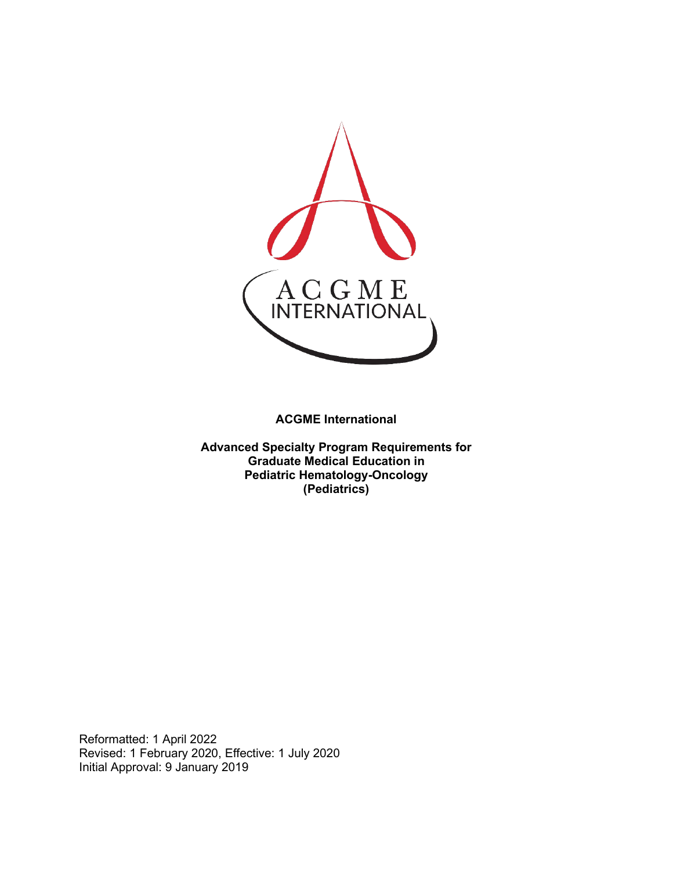

**ACGME International** 

**Advanced Specialty Program Requirements for Graduate Medical Education in Pediatric Hematology-Oncology (Pediatrics)**

Reformatted: 1 April 2022 Revised: 1 February 2020, Effective: 1 July 2020 Initial Approval: 9 January 2019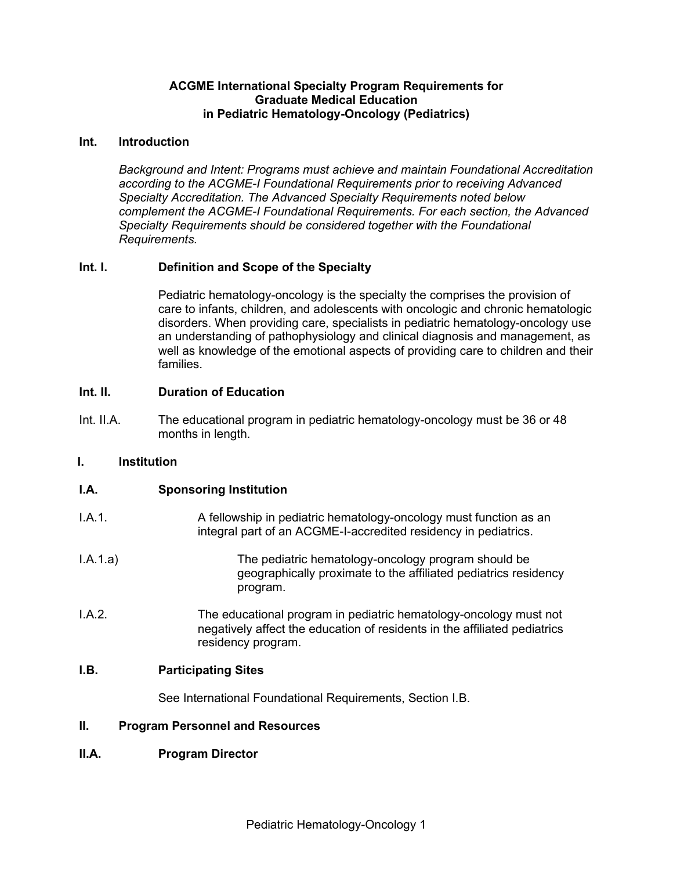### **ACGME International Specialty Program Requirements for Graduate Medical Education in Pediatric Hematology-Oncology (Pediatrics)**

### **Int. Introduction**

*Background and Intent: Programs must achieve and maintain Foundational Accreditation according to the ACGME-I Foundational Requirements prior to receiving Advanced Specialty Accreditation. The Advanced Specialty Requirements noted below complement the ACGME-I Foundational Requirements. For each section, the Advanced Specialty Requirements should be considered together with the Foundational Requirements.*

### **Int. I. Definition and Scope of the Specialty**

Pediatric hematology-oncology is the specialty the comprises the provision of care to infants, children, and adolescents with oncologic and chronic hematologic disorders. When providing care, specialists in pediatric hematology-oncology use an understanding of pathophysiology and clinical diagnosis and management, as well as knowledge of the emotional aspects of providing care to children and their families.

### **Int. II. Duration of Education**

Int. II.A. The educational program in pediatric hematology-oncology must be 36 or 48 months in length.

#### **I. Institution**

### **I.A. Sponsoring Institution**

- I.A.1. A fellowship in pediatric hematology-oncology must function as an integral part of an ACGME-I-accredited residency in pediatrics.
- I.A.1.a) The pediatric hematology-oncology program should be geographically proximate to the affiliated pediatrics residency program.
- I.A.2. The educational program in pediatric hematology-oncology must not negatively affect the education of residents in the affiliated pediatrics residency program.

#### **I.B. Participating Sites**

See International Foundational Requirements, Section I.B.

### **II. Program Personnel and Resources**

### **II.A. Program Director**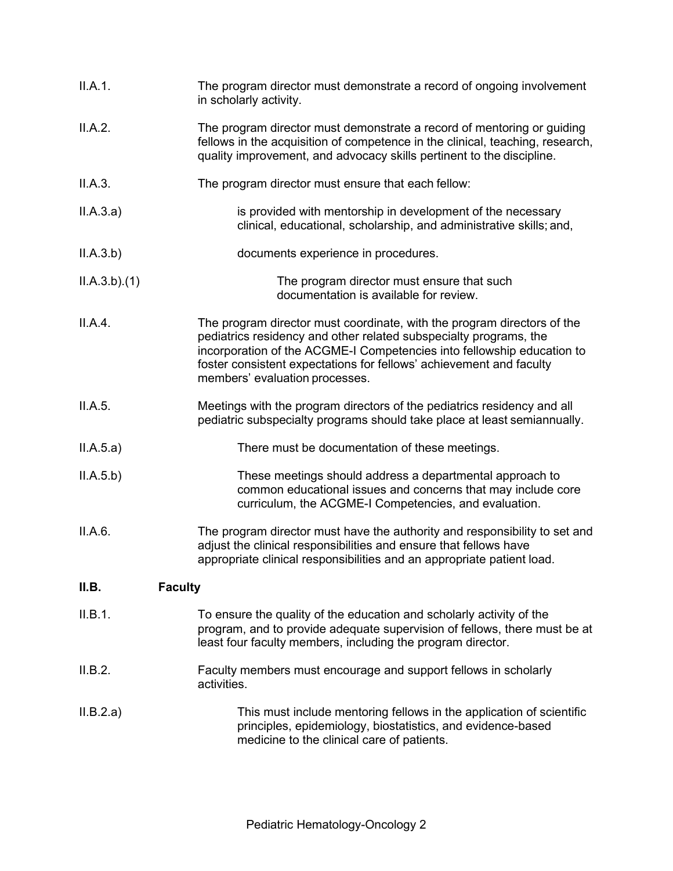| II.A.1.                 | The program director must demonstrate a record of ongoing involvement<br>in scholarly activity.                                                                                                                                                                                                                                 |
|-------------------------|---------------------------------------------------------------------------------------------------------------------------------------------------------------------------------------------------------------------------------------------------------------------------------------------------------------------------------|
| II.A.2.                 | The program director must demonstrate a record of mentoring or guiding<br>fellows in the acquisition of competence in the clinical, teaching, research,<br>quality improvement, and advocacy skills pertinent to the discipline.                                                                                                |
| II.A.3.                 | The program director must ensure that each fellow:                                                                                                                                                                                                                                                                              |
| II.A.3.a)               | is provided with mentorship in development of the necessary<br>clinical, educational, scholarship, and administrative skills; and,                                                                                                                                                                                              |
| II.A.3.b)               | documents experience in procedures.                                                                                                                                                                                                                                                                                             |
| ILA.3.b)(1)             | The program director must ensure that such<br>documentation is available for review.                                                                                                                                                                                                                                            |
| II.A.4.                 | The program director must coordinate, with the program directors of the<br>pediatrics residency and other related subspecialty programs, the<br>incorporation of the ACGME-I Competencies into fellowship education to<br>foster consistent expectations for fellows' achievement and faculty<br>members' evaluation processes. |
| II.A.5.                 | Meetings with the program directors of the pediatrics residency and all<br>pediatric subspecialty programs should take place at least semiannually.                                                                                                                                                                             |
| II.A.5.a)               | There must be documentation of these meetings.                                                                                                                                                                                                                                                                                  |
| II.A.5.b)               | These meetings should address a departmental approach to<br>common educational issues and concerns that may include core<br>curriculum, the ACGME-I Competencies, and evaluation.                                                                                                                                               |
| II.A.6.                 | The program director must have the authority and responsibility to set and<br>adjust the clinical responsibilities and ensure that fellows have<br>appropriate clinical responsibilities and an appropriate patient load.                                                                                                       |
| II.B.<br><b>Faculty</b> |                                                                                                                                                                                                                                                                                                                                 |
| II.B.1.                 | To ensure the quality of the education and scholarly activity of the<br>program, and to provide adequate supervision of fellows, there must be at<br>least four faculty members, including the program director.                                                                                                                |
| II.B.2.                 | Faculty members must encourage and support fellows in scholarly<br>activities.                                                                                                                                                                                                                                                  |
| II.B.2.a)               | This must include mentoring fellows in the application of scientific<br>principles, epidemiology, biostatistics, and evidence-based<br>medicine to the clinical care of patients.                                                                                                                                               |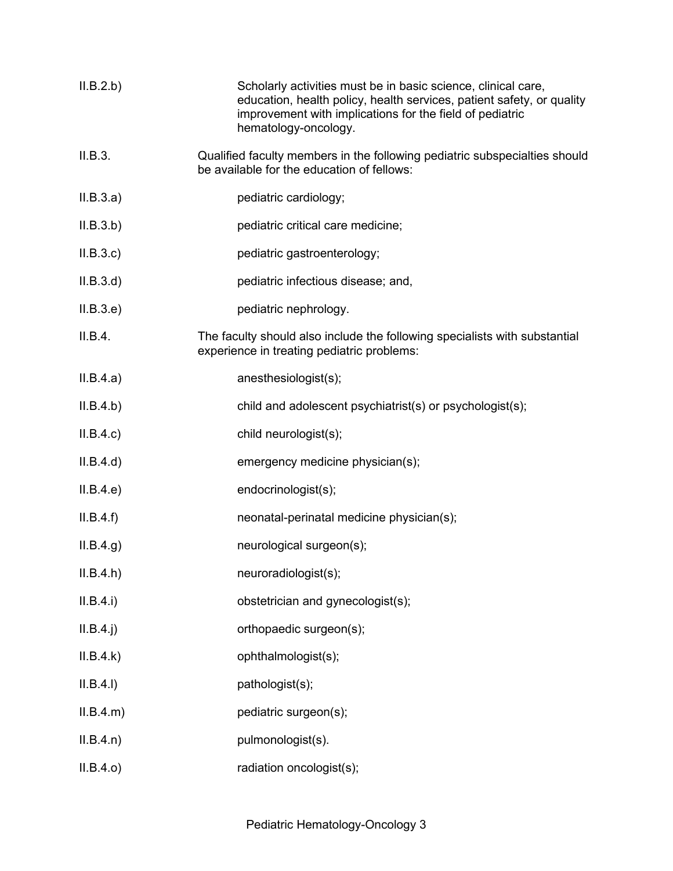| II.B.2.b)   | Scholarly activities must be in basic science, clinical care,<br>education, health policy, health services, patient safety, or quality<br>improvement with implications for the field of pediatric<br>hematology-oncology. |
|-------------|----------------------------------------------------------------------------------------------------------------------------------------------------------------------------------------------------------------------------|
| II.B.3.     | Qualified faculty members in the following pediatric subspecialties should<br>be available for the education of fellows:                                                                                                   |
| II.B.3.a)   | pediatric cardiology;                                                                                                                                                                                                      |
| II.B.3.b)   | pediatric critical care medicine;                                                                                                                                                                                          |
| II.B.3.c    | pediatric gastroenterology;                                                                                                                                                                                                |
| II.B.3.d    | pediatric infectious disease; and,                                                                                                                                                                                         |
| II.B.3.e)   | pediatric nephrology.                                                                                                                                                                                                      |
| II.B.4.     | The faculty should also include the following specialists with substantial<br>experience in treating pediatric problems:                                                                                                   |
| II.B.4.a)   | anesthesiologist(s);                                                                                                                                                                                                       |
| II.B.4.b)   | child and adolescent psychiatrist(s) or psychologist(s);                                                                                                                                                                   |
| II.B.4.c    | child neurologist(s);                                                                                                                                                                                                      |
| II.B.4.d)   | emergency medicine physician(s);                                                                                                                                                                                           |
| II.B.4.e)   | endocrinologist(s);                                                                                                                                                                                                        |
| II.B.4.f)   | neonatal-perinatal medicine physician(s);                                                                                                                                                                                  |
| II.B.4.g.   | neurological surgeon(s);                                                                                                                                                                                                   |
| II.B.4.h    | neuroradiologist(s);                                                                                                                                                                                                       |
| II.B.4.i)   | obstetrician and gynecologist(s);                                                                                                                                                                                          |
| $II.B.4.$ j | orthopaedic surgeon(s);                                                                                                                                                                                                    |
| II.B.4.k)   | ophthalmologist(s);                                                                                                                                                                                                        |
| II.B.4.I)   | pathologist(s);                                                                                                                                                                                                            |
| ILB.4.m)    | pediatric surgeon(s);                                                                                                                                                                                                      |
| ILB.4.n)    | pulmonologist(s).                                                                                                                                                                                                          |
| II.B.4.o)   | radiation oncologist(s);                                                                                                                                                                                                   |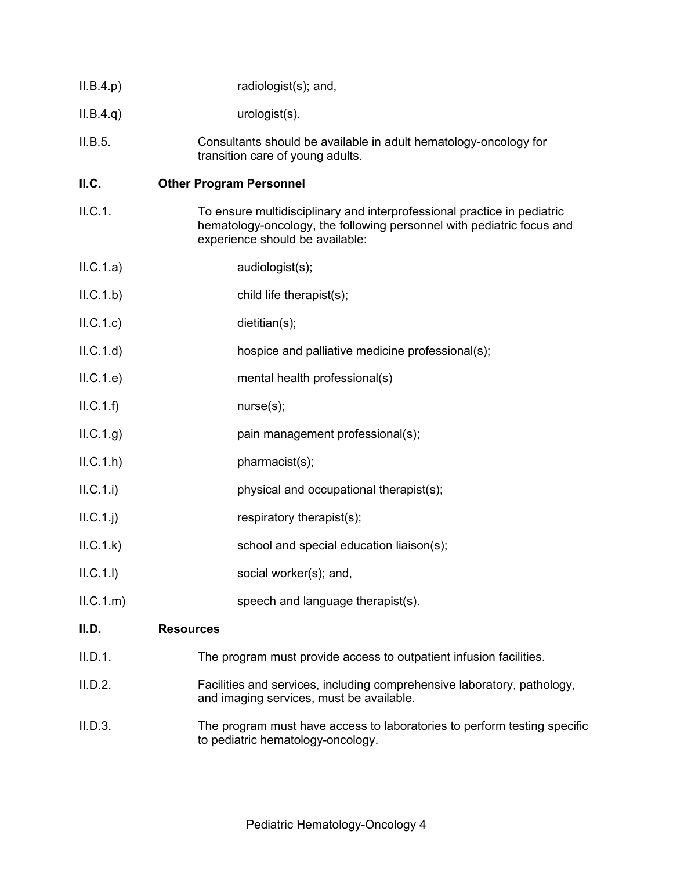| II.B.4.p) | radiologist(s); and, |
|-----------|----------------------|
|           |                      |

- II.B.4.q) urologist(s).
- II.B.5. Consultants should be available in adult hematology-oncology for transition care of young adults.

### **II.C. Other Program Personnel**

- II.C.1. To ensure multidisciplinary and interprofessional practice in pediatric hematology-oncology, the following personnel with pediatric focus and experience should be available:
- II.C.1.a) audiologist(s);
- II.C.1.b) child life therapist(s);
- II.C.1.c) dietitian(s);
- II.C.1.d) hospice and palliative medicine professional(s);
- II.C.1.e) mental health professional(s)
- $ILC.1.f)$  nurse(s);
- II.C.1.g) pain management professional(s);
- $ILC.1.h$ ) pharmacist(s);
- II.C.1.i) physical and occupational therapist(s);
- $II.C.1.$ j) respiratory therapist(s);
- II.C.1.k) school and special education liaison(s);
- II.C.1.l) social worker(s); and,
- II.C.1.m) speech and language therapist(s).

## **II.D. Resources**

- II.D.1. The program must provide access to outpatient infusion facilities.
- II.D.2. Facilities and services, including comprehensive laboratory, pathology, and imaging services, must be available.
- II.D.3. The program must have access to laboratories to perform testing specific to pediatric hematology-oncology.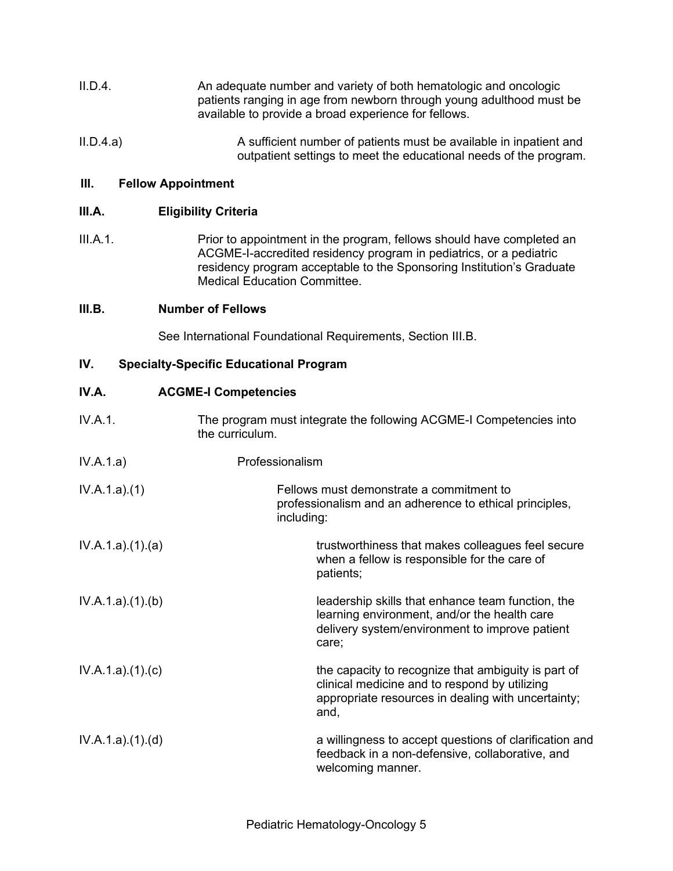- II.D.4. An adequate number and variety of both hematologic and oncologic patients ranging in age from newborn through young adulthood must be available to provide a broad experience for fellows.
- II.D.4.a) A sufficient number of patients must be available in inpatient and outpatient settings to meet the educational needs of the program.

### **III. Fellow Appointment**

### **III.A. Eligibility Criteria**

III.A.1. Prior to appointment in the program, fellows should have completed an ACGME-I-accredited residency program in pediatrics, or a pediatric residency program acceptable to the Sponsoring Institution's Graduate Medical Education Committee.

#### **III.B. Number of Fellows**

See International Foundational Requirements, Section III.B.

### **IV. Specialty-Specific Educational Program**

### **IV.A. ACGME-I Competencies**

- IV.A.1. The program must integrate the following ACGME-I Competencies into the curriculum.
- IV.A.1.a) Professionalism
- IV.A.1.a).(1) Fellows must demonstrate a commitment to professionalism and an adherence to ethical principles, including:
- IV.A.1.a).(1).(a) TV.A.1.a).(1).(a) trustworthiness that makes colleagues feel secure when a fellow is responsible for the care of patients;
- IV.A.1.a).(1).(b) leadership skills that enhance team function, the learning environment, and/or the health care delivery system/environment to improve patient care;
- IV.A.1.a).(1).(c) TV.A.1.a).(1).(c) the capacity to recognize that ambiguity is part of clinical medicine and to respond by utilizing appropriate resources in dealing with uncertainty; and,
- IV.A.1.a).(1).(d) a willingness to accept questions of clarification and feedback in a non-defensive, collaborative, and welcoming manner.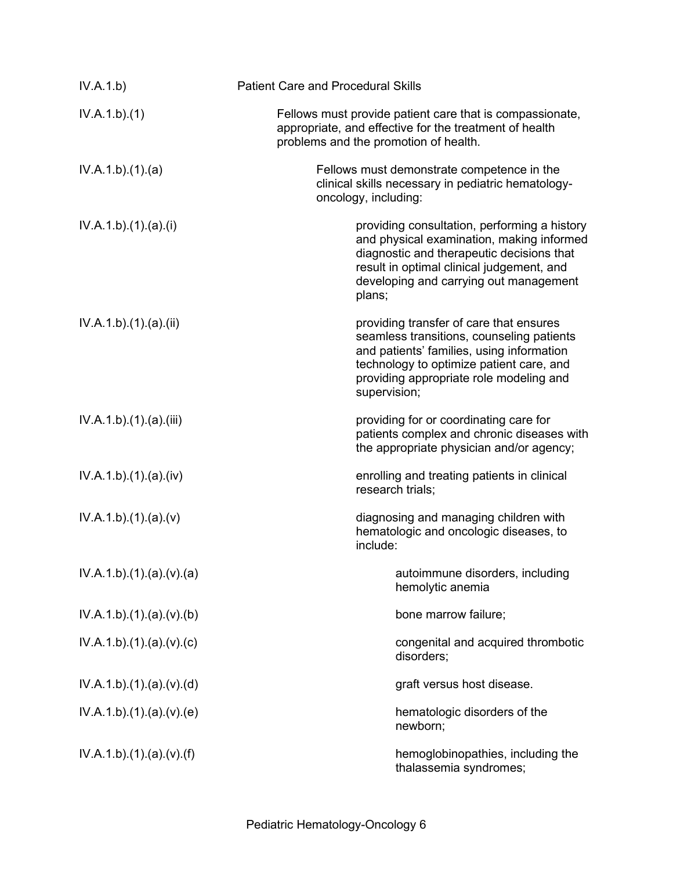| IV.A.1.b)             | <b>Patient Care and Procedural Skills</b>                                                                                                                                                                                                |
|-----------------------|------------------------------------------------------------------------------------------------------------------------------------------------------------------------------------------------------------------------------------------|
| IV.A.1.b)(1)          | Fellows must provide patient care that is compassionate,<br>appropriate, and effective for the treatment of health<br>problems and the promotion of health.                                                                              |
| IV.A.1.b)(1)(a)       | Fellows must demonstrate competence in the<br>clinical skills necessary in pediatric hematology-<br>oncology, including:                                                                                                                 |
| IV.A.1.b)(1)(a)(i)    | providing consultation, performing a history<br>and physical examination, making informed<br>diagnostic and therapeutic decisions that<br>result in optimal clinical judgement, and<br>developing and carrying out management<br>plans;  |
| IV.A.1.b)(1).(a)(ii)  | providing transfer of care that ensures<br>seamless transitions, counseling patients<br>and patients' families, using information<br>technology to optimize patient care, and<br>providing appropriate role modeling and<br>supervision; |
| IV.A.1.b)(1)(a)(iii)  | providing for or coordinating care for<br>patients complex and chronic diseases with<br>the appropriate physician and/or agency;                                                                                                         |
| IV.A.1.b)(1)(a)(iv)   | enrolling and treating patients in clinical<br>research trials;                                                                                                                                                                          |
| IV.A.1.b)(1)(a)(v)    | diagnosing and managing children with<br>hematologic and oncologic diseases, to<br>include:                                                                                                                                              |
| IV.A.1.b)(1)(a)(v)(a) | autoimmune disorders, including<br>hemolytic anemia                                                                                                                                                                                      |
| IV.A.1.b)(1)(a)(v)(b) | bone marrow failure;                                                                                                                                                                                                                     |
| IV.A.1.b)(1)(a)(v)(c) | congenital and acquired thrombotic<br>disorders;                                                                                                                                                                                         |
| IV.A.1.b)(1)(a)(v)(d) | graft versus host disease.                                                                                                                                                                                                               |
| IV.A.1.b)(1)(a)(v)(e) | hematologic disorders of the<br>newborn;                                                                                                                                                                                                 |
| IV.A.1.b)(1)(a)(v)(f) | hemoglobinopathies, including the<br>thalassemia syndromes;                                                                                                                                                                              |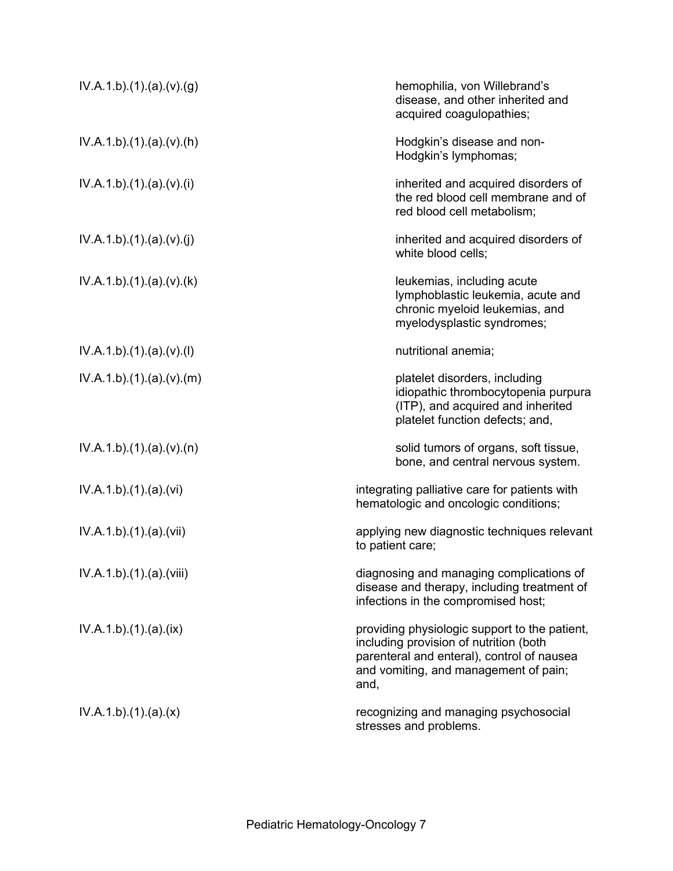| IV.A.1.b)(1)(a)(v)(g)    | hemophilia, von Willebrand's<br>disease, and other inherited and<br>acquired coagulopathies;                                                                                           |
|--------------------------|----------------------------------------------------------------------------------------------------------------------------------------------------------------------------------------|
| IV.A.1.b)(1)(a)(v)(h)    | Hodgkin's disease and non-<br>Hodgkin's lymphomas;                                                                                                                                     |
| IV.A.1.b)(1)(a)(v)(i)    | inherited and acquired disorders of<br>the red blood cell membrane and of<br>red blood cell metabolism;                                                                                |
| IV.A.1.b)(1)(a)(v)(j)    | inherited and acquired disorders of<br>white blood cells;                                                                                                                              |
| IV.A.1.b)(1)(a)(v)(k)    | leukemias, including acute<br>lymphoblastic leukemia, acute and<br>chronic myeloid leukemias, and<br>myelodysplastic syndromes;                                                        |
| IV.A.1.b)(1)(a)(v)(l)    | nutritional anemia;                                                                                                                                                                    |
| IV.A.1.b)(1)(a)(v)(m)    | platelet disorders, including<br>idiopathic thrombocytopenia purpura<br>(ITP), and acquired and inherited<br>platelet function defects; and,                                           |
| IV.A.1.b)(1)(a)(v)(n)    | solid tumors of organs, soft tissue,<br>bone, and central nervous system.                                                                                                              |
| IV.A.1.b)(1)(a)(vi)      | integrating palliative care for patients with<br>hematologic and oncologic conditions;                                                                                                 |
| IV.A.1.b)(1)(a)(vii)     | applying new diagnostic techniques relevant<br>to patient care;                                                                                                                        |
| IV.A.1.b).(1).(a).(viii) | diagnosing and managing complications of<br>disease and therapy, including treatment of<br>infections in the compromised host;                                                         |
| IV.A.1.b)(1)(a)(ix)      | providing physiologic support to the patient,<br>including provision of nutrition (both<br>parenteral and enteral), control of nausea<br>and vomiting, and management of pain;<br>and, |
| IV.A.1.b)(1)(a)(x)       | recognizing and managing psychosocial<br>stresses and problems.                                                                                                                        |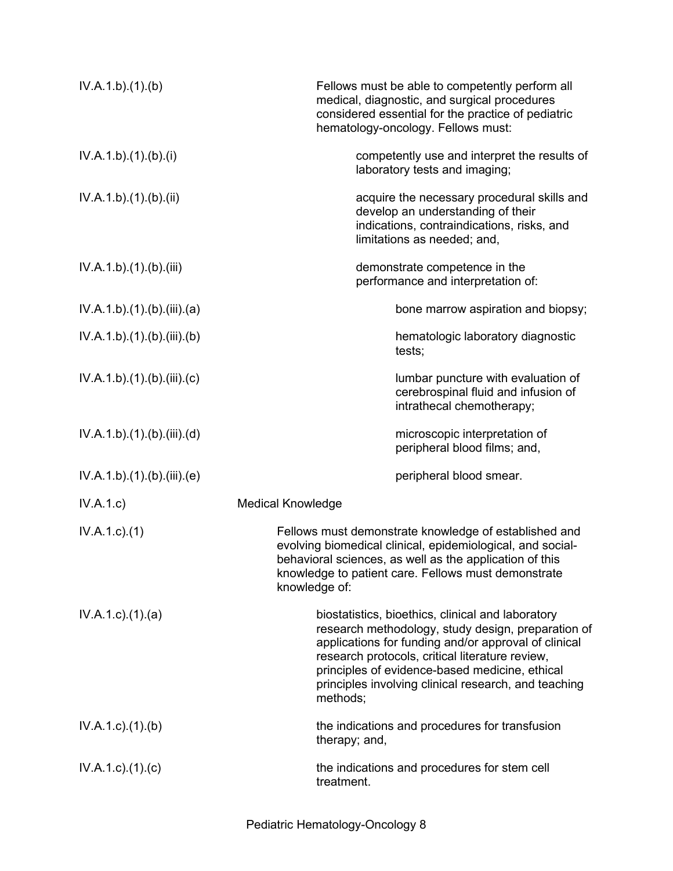| IV.A.1.b)(1)(b)             | Fellows must be able to competently perform all<br>medical, diagnostic, and surgical procedures<br>considered essential for the practice of pediatric<br>hematology-oncology. Fellows must:                                                                                                                                              |
|-----------------------------|------------------------------------------------------------------------------------------------------------------------------------------------------------------------------------------------------------------------------------------------------------------------------------------------------------------------------------------|
| IV.A.1.b)(1)(b)(i)          | competently use and interpret the results of<br>laboratory tests and imaging;                                                                                                                                                                                                                                                            |
| IV.A.1.b)(1)(b)(ii)         | acquire the necessary procedural skills and<br>develop an understanding of their<br>indications, contraindications, risks, and<br>limitations as needed; and,                                                                                                                                                                            |
| IV.A.1.b)(1)(b)(iii)        | demonstrate competence in the<br>performance and interpretation of:                                                                                                                                                                                                                                                                      |
| IV.A.1.b)(1)(b)(iii)(a)     | bone marrow aspiration and biopsy;                                                                                                                                                                                                                                                                                                       |
| IV.A.1.b)(1)(b)(iii)(b)     | hematologic laboratory diagnostic<br>tests;                                                                                                                                                                                                                                                                                              |
| IV.A.1.b)(1)(b)(iii)(c)     | lumbar puncture with evaluation of<br>cerebrospinal fluid and infusion of<br>intrathecal chemotherapy;                                                                                                                                                                                                                                   |
| IV.A.1.b).(1).(b).(iii).(d) | microscopic interpretation of<br>peripheral blood films; and,                                                                                                                                                                                                                                                                            |
| IV.A.1.b)(1)(b)(iii)(e)     | peripheral blood smear.                                                                                                                                                                                                                                                                                                                  |
| IV.A.1.c)                   | <b>Medical Knowledge</b>                                                                                                                                                                                                                                                                                                                 |
| $IV.A.1.c.$ (1)             | Fellows must demonstrate knowledge of established and<br>evolving biomedical clinical, epidemiological, and social-<br>behavioral sciences, as well as the application of this<br>knowledge to patient care. Fellows must demonstrate<br>knowledge of:                                                                                   |
| $IV.A.1.c$ . $(1).$ $(a)$   | biostatistics, bioethics, clinical and laboratory<br>research methodology, study design, preparation of<br>applications for funding and/or approval of clinical<br>research protocols, critical literature review,<br>principles of evidence-based medicine, ethical<br>principles involving clinical research, and teaching<br>methods; |
| $IV.A.1.c$ . $(1).$ (b)     | the indications and procedures for transfusion<br>therapy; and,                                                                                                                                                                                                                                                                          |
| $IV.A.1.c$ ). $(1).$ (c)    | the indications and procedures for stem cell<br>treatment.                                                                                                                                                                                                                                                                               |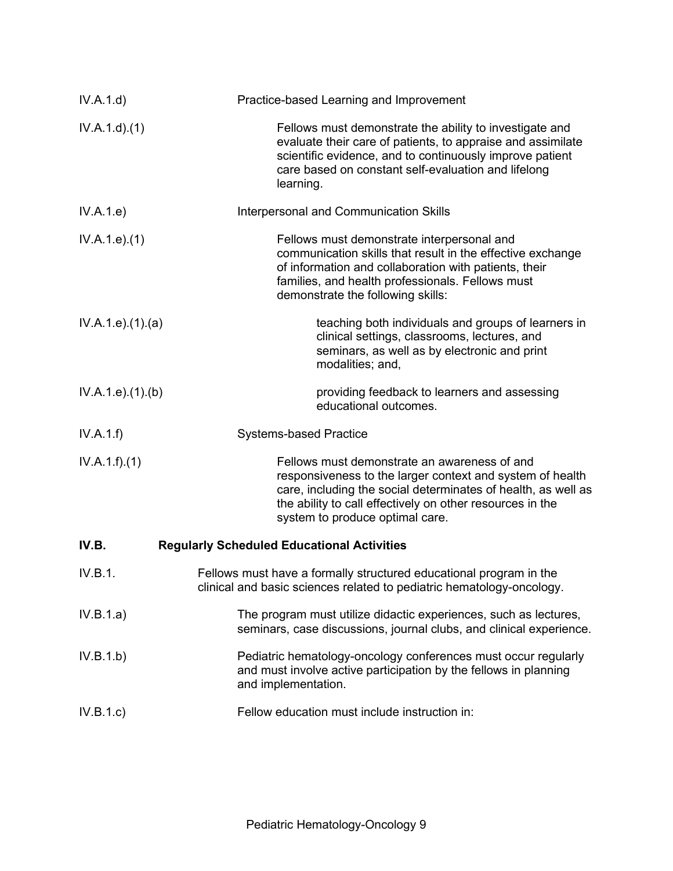| IV.A.1.d)          | Practice-based Learning and Improvement                                                                                                                                                                                                                                    |
|--------------------|----------------------------------------------------------------------------------------------------------------------------------------------------------------------------------------------------------------------------------------------------------------------------|
| IV.A.1.d).(1)      | Fellows must demonstrate the ability to investigate and<br>evaluate their care of patients, to appraise and assimilate<br>scientific evidence, and to continuously improve patient<br>care based on constant self-evaluation and lifelong<br>learning.                     |
| IV.A.1.e)          | Interpersonal and Communication Skills                                                                                                                                                                                                                                     |
| IV.A.1.e. (1)      | Fellows must demonstrate interpersonal and<br>communication skills that result in the effective exchange<br>of information and collaboration with patients, their<br>families, and health professionals. Fellows must<br>demonstrate the following skills:                 |
| IV.A.1.e. (1). (a) | teaching both individuals and groups of learners in<br>clinical settings, classrooms, lectures, and<br>seminars, as well as by electronic and print<br>modalities; and,                                                                                                    |
| IV.A.1.e. (1)(b)   | providing feedback to learners and assessing<br>educational outcomes.                                                                                                                                                                                                      |
| IV.A.1.f)          | <b>Systems-based Practice</b>                                                                                                                                                                                                                                              |
| IV.A.1.f)(1)       | Fellows must demonstrate an awareness of and<br>responsiveness to the larger context and system of health<br>care, including the social determinates of health, as well as<br>the ability to call effectively on other resources in the<br>system to produce optimal care. |
| IV.B.              | <b>Regularly Scheduled Educational Activities</b>                                                                                                                                                                                                                          |
| IV.B.1.            | Fellows must have a formally structured educational program in the<br>clinical and basic sciences related to pediatric hematology-oncology.                                                                                                                                |
| IV.B.1.a)          | The program must utilize didactic experiences, such as lectures,<br>seminars, case discussions, journal clubs, and clinical experience.                                                                                                                                    |
| IV.B.1.b)          | Pediatric hematology-oncology conferences must occur regularly<br>and must involve active participation by the fellows in planning<br>and implementation.                                                                                                                  |
| IV.B.1.c)          | Fellow education must include instruction in:                                                                                                                                                                                                                              |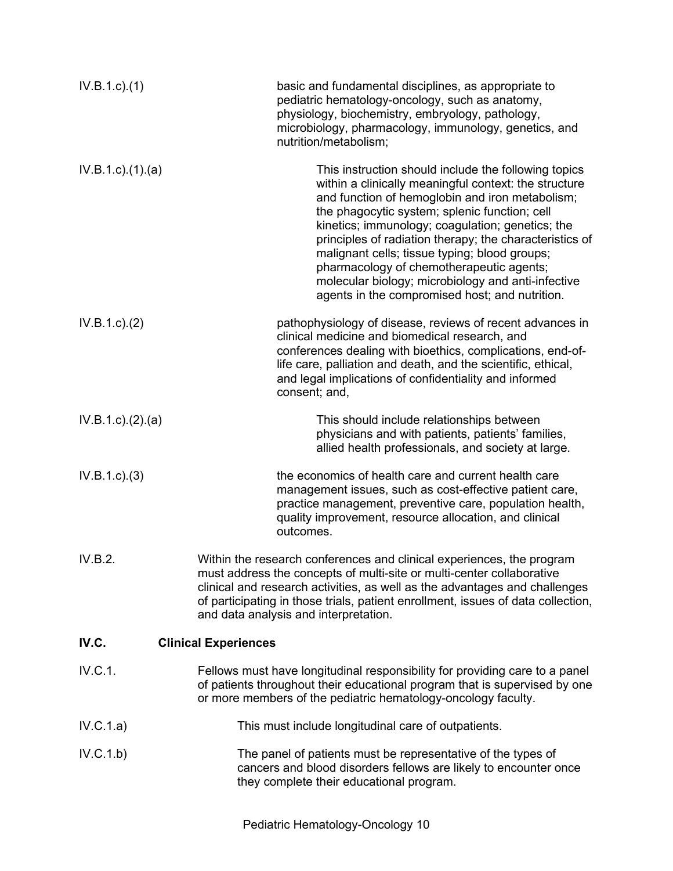| $IV.B.1.c.$ (1)          | basic and fundamental disciplines, as appropriate to<br>pediatric hematology-oncology, such as anatomy,<br>physiology, biochemistry, embryology, pathology,<br>microbiology, pharmacology, immunology, genetics, and<br>nutrition/metabolism;                                                                                                                                                                                                                                                                                         |
|--------------------------|---------------------------------------------------------------------------------------------------------------------------------------------------------------------------------------------------------------------------------------------------------------------------------------------------------------------------------------------------------------------------------------------------------------------------------------------------------------------------------------------------------------------------------------|
| $IV.B.1.c$ ). $(1).$ (a) | This instruction should include the following topics<br>within a clinically meaningful context: the structure<br>and function of hemoglobin and iron metabolism;<br>the phagocytic system; splenic function; cell<br>kinetics; immunology; coagulation; genetics; the<br>principles of radiation therapy; the characteristics of<br>malignant cells; tissue typing; blood groups;<br>pharmacology of chemotherapeutic agents;<br>molecular biology; microbiology and anti-infective<br>agents in the compromised host; and nutrition. |
| IV.B.1.c.2)              | pathophysiology of disease, reviews of recent advances in<br>clinical medicine and biomedical research, and<br>conferences dealing with bioethics, complications, end-of-<br>life care, palliation and death, and the scientific, ethical,<br>and legal implications of confidentiality and informed<br>consent; and,                                                                                                                                                                                                                 |
| IV.B.1.c). (2). (a)      | This should include relationships between<br>physicians and with patients, patients' families,<br>allied health professionals, and society at large.                                                                                                                                                                                                                                                                                                                                                                                  |
| IV.B.1.c.3)              | the economics of health care and current health care<br>management issues, such as cost-effective patient care,<br>practice management, preventive care, population health,<br>quality improvement, resource allocation, and clinical<br>outcomes.                                                                                                                                                                                                                                                                                    |
| IV.B.2.                  | Within the research conferences and clinical experiences, the program<br>must address the concepts of multi-site or multi-center collaborative<br>clinical and research activities, as well as the advantages and challenges<br>of participating in those trials, patient enrollment, issues of data collection,<br>and data analysis and interpretation.                                                                                                                                                                             |
| IV.C.                    | <b>Clinical Experiences</b>                                                                                                                                                                                                                                                                                                                                                                                                                                                                                                           |
| IV.C.1.                  | Fellows must have longitudinal responsibility for providing care to a panel<br>of patients throughout their educational program that is supervised by one<br>or more members of the pediatric hematology-oncology faculty.                                                                                                                                                                                                                                                                                                            |
| IV.C.1.a)                | This must include longitudinal care of outpatients.                                                                                                                                                                                                                                                                                                                                                                                                                                                                                   |
| IV.C.1.b)                | The panel of patients must be representative of the types of<br>cancers and blood disorders fellows are likely to encounter once<br>they complete their educational program.                                                                                                                                                                                                                                                                                                                                                          |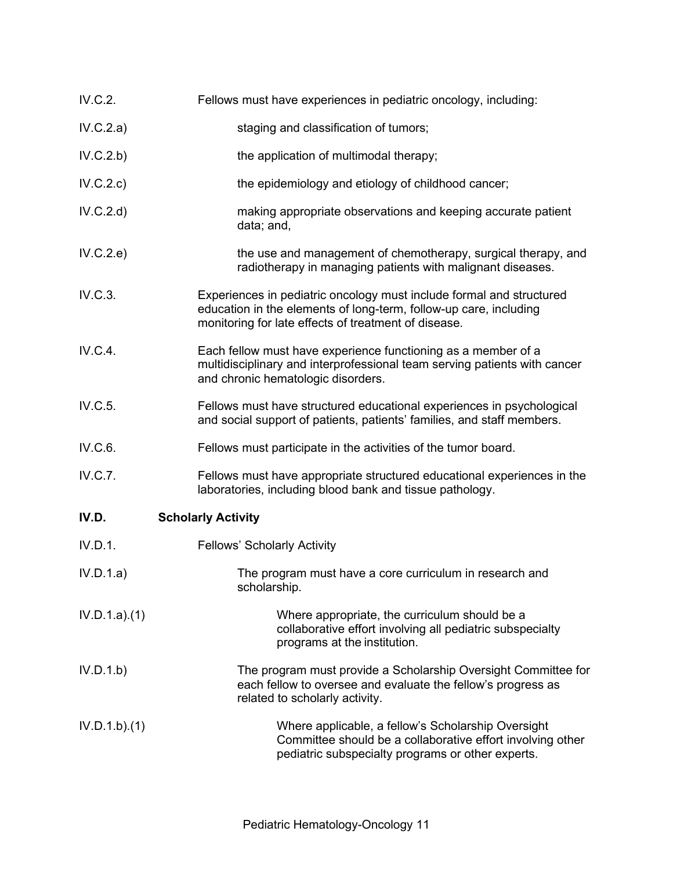- IV.C.2. Fellows must have experiences in pediatric oncology, including:
- IV.C.2.a) staging and classification of tumors;
- IV.C.2.b) the application of multimodal therapy;
- IV.C.2.c) the epidemiology and etiology of childhood cancer;
- IV.C.2.d) making appropriate observations and keeping accurate patient data; and,
- IV.C.2.e) the use and management of chemotherapy, surgical therapy, and radiotherapy in managing patients with malignant diseases.
- IV.C.3. Experiences in pediatric oncology must include formal and structured education in the elements of long-term, follow-up care, including monitoring for late effects of treatment of disease.
- IV.C.4. Each fellow must have experience functioning as a member of a multidisciplinary and interprofessional team serving patients with cancer and chronic hematologic disorders.
- IV.C.5. Fellows must have structured educational experiences in psychological and social support of patients, patients' families, and staff members.
- IV.C.6. Fellows must participate in the activities of the tumor board.
- IV.C.7. Fellows must have appropriate structured educational experiences in the laboratories, including blood bank and tissue pathology.

# **IV.D. Scholarly Activity**

- IV.D.1. Fellows' Scholarly Activity
- IV.D.1.a) The program must have a core curriculum in research and scholarship.
- IV.D.1.a).(1) Where appropriate, the curriculum should be a collaborative effort involving all pediatric subspecialty programs at the institution.
- IV.D.1.b) The program must provide a Scholarship Oversight Committee for each fellow to oversee and evaluate the fellow's progress as related to scholarly activity.
- IV.D.1.b).(1) Where applicable, a fellow's Scholarship Oversight Committee should be a collaborative effort involving other pediatric subspecialty programs or other experts.